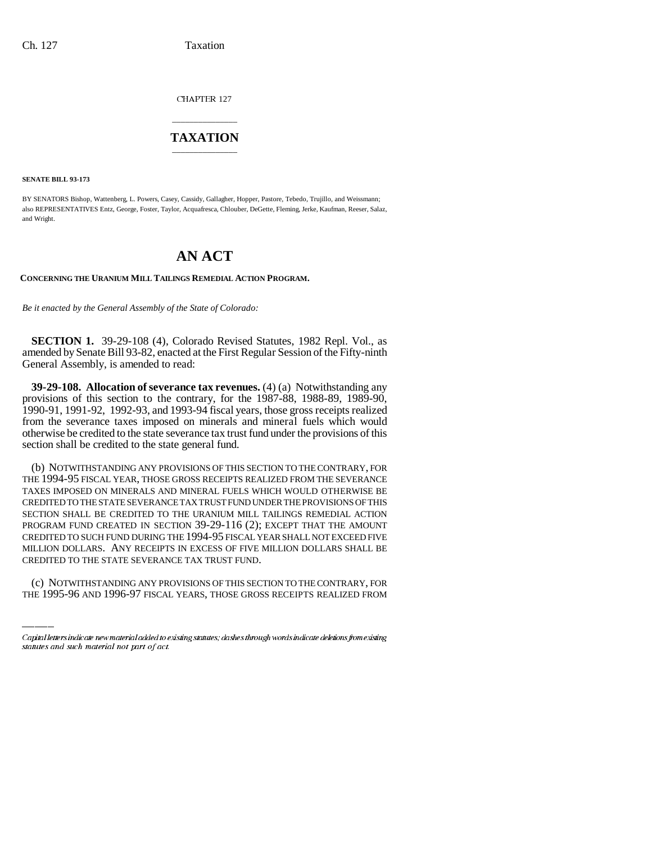CHAPTER 127

## \_\_\_\_\_\_\_\_\_\_\_\_\_\_\_ **TAXATION** \_\_\_\_\_\_\_\_\_\_\_\_\_\_\_

**SENATE BILL 93-173**

BY SENATORS Bishop, Wattenberg, L. Powers, Casey, Cassidy, Gallagher, Hopper, Pastore, Tebedo, Trujillo, and Weissmann; also REPRESENTATIVES Entz, George, Foster, Taylor, Acquafresca, Chlouber, DeGette, Fleming, Jerke, Kaufman, Reeser, Salaz, and Wright.

# **AN ACT**

**CONCERNING THE URANIUM MILL TAILINGS REMEDIAL ACTION PROGRAM.**

*Be it enacted by the General Assembly of the State of Colorado:*

**SECTION 1.** 39-29-108 (4), Colorado Revised Statutes, 1982 Repl. Vol., as amended by Senate Bill 93-82, enacted at the First Regular Session of the Fifty-ninth General Assembly, is amended to read:

**39-29-108. Allocation of severance tax revenues.** (4) (a) Notwithstanding any provisions of this section to the contrary, for the 1987-88, 1988-89, 1989-90, 1990-91, 1991-92, 1992-93, and 1993-94 fiscal years, those gross receipts realized from the severance taxes imposed on minerals and mineral fuels which would otherwise be credited to the state severance tax trust fund under the provisions of this section shall be credited to the state general fund.

MILLION DOLLARS. ANY RECEIPTS IN EXCESS OF FIVE MILLION DOLLARS SHALL BE (b) NOTWITHSTANDING ANY PROVISIONS OF THIS SECTION TO THE CONTRARY, FOR THE 1994-95 FISCAL YEAR, THOSE GROSS RECEIPTS REALIZED FROM THE SEVERANCE TAXES IMPOSED ON MINERALS AND MINERAL FUELS WHICH WOULD OTHERWISE BE CREDITED TO THE STATE SEVERANCE TAX TRUST FUND UNDER THE PROVISIONS OF THIS SECTION SHALL BE CREDITED TO THE URANIUM MILL TAILINGS REMEDIAL ACTION PROGRAM FUND CREATED IN SECTION 39-29-116 (2); EXCEPT THAT THE AMOUNT CREDITED TO SUCH FUND DURING THE 1994-95 FISCAL YEAR SHALL NOT EXCEED FIVE CREDITED TO THE STATE SEVERANCE TAX TRUST FUND.

(c) NOTWITHSTANDING ANY PROVISIONS OF THIS SECTION TO THE CONTRARY, FOR THE 1995-96 AND 1996-97 FISCAL YEARS, THOSE GROSS RECEIPTS REALIZED FROM

Capital letters indicate new material added to existing statutes; dashes through words indicate deletions from existing statutes and such material not part of act.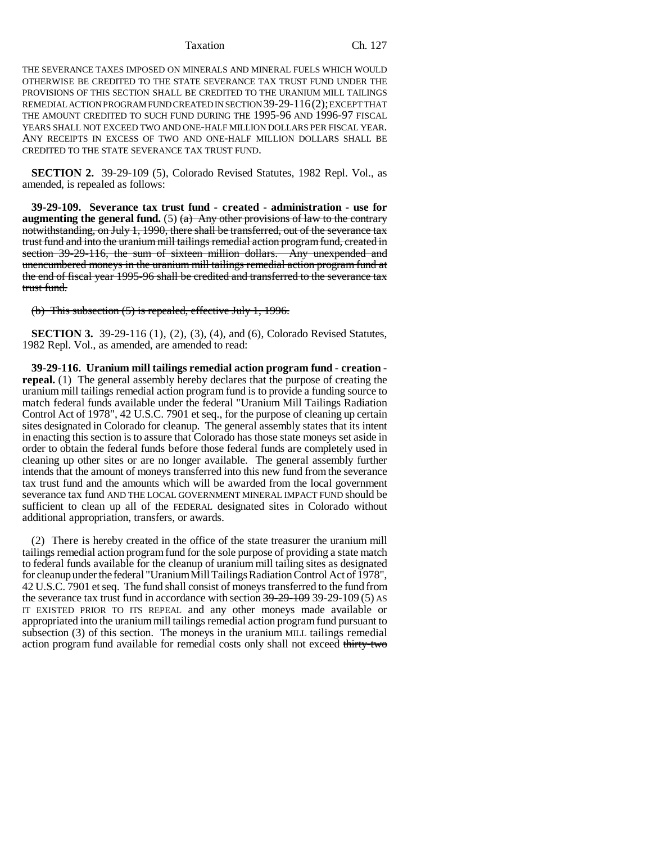#### Taxation Ch. 127

THE SEVERANCE TAXES IMPOSED ON MINERALS AND MINERAL FUELS WHICH WOULD OTHERWISE BE CREDITED TO THE STATE SEVERANCE TAX TRUST FUND UNDER THE PROVISIONS OF THIS SECTION SHALL BE CREDITED TO THE URANIUM MILL TAILINGS REMEDIAL ACTION PROGRAM FUND CREATED IN SECTION 39-29-116(2); EXCEPT THAT THE AMOUNT CREDITED TO SUCH FUND DURING THE 1995-96 AND 1996-97 FISCAL YEARS SHALL NOT EXCEED TWO AND ONE-HALF MILLION DOLLARS PER FISCAL YEAR. ANY RECEIPTS IN EXCESS OF TWO AND ONE-HALF MILLION DOLLARS SHALL BE CREDITED TO THE STATE SEVERANCE TAX TRUST FUND.

**SECTION 2.** 39-29-109 (5), Colorado Revised Statutes, 1982 Repl. Vol., as amended, is repealed as follows:

**39-29-109. Severance tax trust fund - created - administration - use for augmenting the general fund.** (5)  $\left(\frac{a}{b}\right)$  Any other provisions of law to the contrary notwithstanding, on July 1, 1990, there shall be transferred, out of the severance tax trust fund and into the uranium mill tailings remedial action program fund, created in section 39-29-116, the sum of sixteen million dollars. Any unexpended and unencumbered moneys in the uranium mill tailings remedial action program fund at the end of fiscal year 1995-96 shall be credited and transferred to the severance tax trust fund.

(b) This subsection (5) is repealed, effective July 1, 1996.

**SECTION 3.** 39-29-116 (1), (2), (3), (4), and (6), Colorado Revised Statutes, 1982 Repl. Vol., as amended, are amended to read:

**39-29-116. Uranium mill tailings remedial action program fund - creation repeal.** (1) The general assembly hereby declares that the purpose of creating the uranium mill tailings remedial action program fund is to provide a funding source to match federal funds available under the federal "Uranium Mill Tailings Radiation Control Act of 1978", 42 U.S.C. 7901 et seq., for the purpose of cleaning up certain sites designated in Colorado for cleanup. The general assembly states that its intent in enacting this section is to assure that Colorado has those state moneys set aside in order to obtain the federal funds before those federal funds are completely used in cleaning up other sites or are no longer available. The general assembly further intends that the amount of moneys transferred into this new fund from the severance tax trust fund and the amounts which will be awarded from the local government severance tax fund AND THE LOCAL GOVERNMENT MINERAL IMPACT FUND should be sufficient to clean up all of the FEDERAL designated sites in Colorado without additional appropriation, transfers, or awards.

(2) There is hereby created in the office of the state treasurer the uranium mill tailings remedial action program fund for the sole purpose of providing a state match to federal funds available for the cleanup of uranium mill tailing sites as designated for cleanup under the federal "Uranium Mill Tailings Radiation Control Act of 1978", 42 U.S.C. 7901 et seq. The fund shall consist of moneys transferred to the fund from the severance tax trust fund in accordance with section  $39-29-109$  39-29-109 (5) As IT EXISTED PRIOR TO ITS REPEAL and any other moneys made available or appropriated into the uranium mill tailings remedial action program fund pursuant to subsection (3) of this section. The moneys in the uranium MILL tailings remedial action program fund available for remedial costs only shall not exceed thirty-two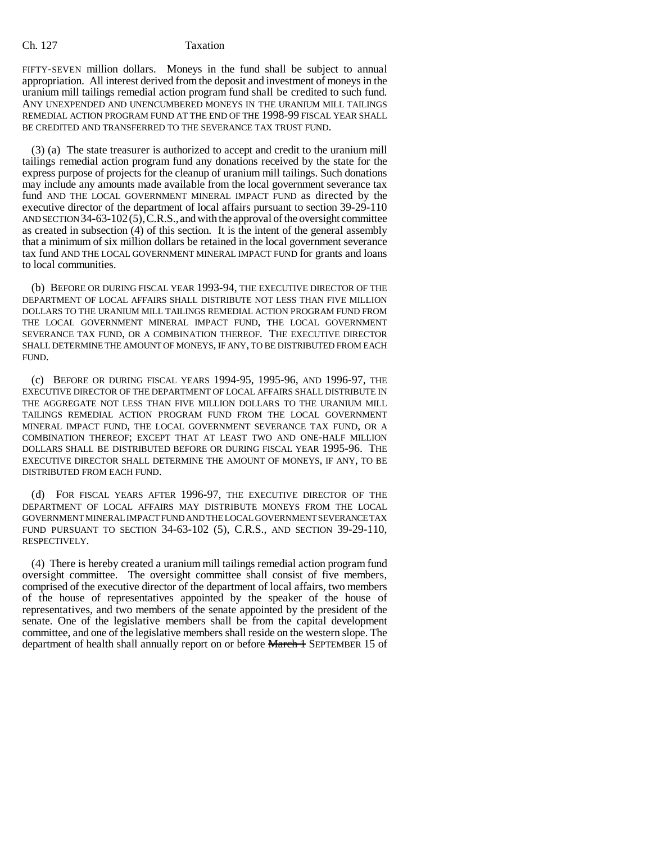### Ch. 127 Taxation

FIFTY-SEVEN million dollars. Moneys in the fund shall be subject to annual appropriation. All interest derived from the deposit and investment of moneys in the uranium mill tailings remedial action program fund shall be credited to such fund. ANY UNEXPENDED AND UNENCUMBERED MONEYS IN THE URANIUM MILL TAILINGS REMEDIAL ACTION PROGRAM FUND AT THE END OF THE 1998-99 FISCAL YEAR SHALL BE CREDITED AND TRANSFERRED TO THE SEVERANCE TAX TRUST FUND.

(3) (a) The state treasurer is authorized to accept and credit to the uranium mill tailings remedial action program fund any donations received by the state for the express purpose of projects for the cleanup of uranium mill tailings. Such donations may include any amounts made available from the local government severance tax fund AND THE LOCAL GOVERNMENT MINERAL IMPACT FUND as directed by the executive director of the department of local affairs pursuant to section 39-29-110 AND SECTION 34-63-102(5), C.R.S., and with the approval of the oversight committee as created in subsection (4) of this section. It is the intent of the general assembly that a minimum of six million dollars be retained in the local government severance tax fund AND THE LOCAL GOVERNMENT MINERAL IMPACT FUND for grants and loans to local communities.

(b) BEFORE OR DURING FISCAL YEAR 1993-94, THE EXECUTIVE DIRECTOR OF THE DEPARTMENT OF LOCAL AFFAIRS SHALL DISTRIBUTE NOT LESS THAN FIVE MILLION DOLLARS TO THE URANIUM MILL TAILINGS REMEDIAL ACTION PROGRAM FUND FROM THE LOCAL GOVERNMENT MINERAL IMPACT FUND, THE LOCAL GOVERNMENT SEVERANCE TAX FUND, OR A COMBINATION THEREOF. THE EXECUTIVE DIRECTOR SHALL DETERMINE THE AMOUNT OF MONEYS, IF ANY, TO BE DISTRIBUTED FROM EACH FUND.

(c) BEFORE OR DURING FISCAL YEARS 1994-95, 1995-96, AND 1996-97, THE EXECUTIVE DIRECTOR OF THE DEPARTMENT OF LOCAL AFFAIRS SHALL DISTRIBUTE IN THE AGGREGATE NOT LESS THAN FIVE MILLION DOLLARS TO THE URANIUM MILL TAILINGS REMEDIAL ACTION PROGRAM FUND FROM THE LOCAL GOVERNMENT MINERAL IMPACT FUND, THE LOCAL GOVERNMENT SEVERANCE TAX FUND, OR A COMBINATION THEREOF; EXCEPT THAT AT LEAST TWO AND ONE-HALF MILLION DOLLARS SHALL BE DISTRIBUTED BEFORE OR DURING FISCAL YEAR 1995-96. THE EXECUTIVE DIRECTOR SHALL DETERMINE THE AMOUNT OF MONEYS, IF ANY, TO BE DISTRIBUTED FROM EACH FUND.

(d) FOR FISCAL YEARS AFTER 1996-97, THE EXECUTIVE DIRECTOR OF THE DEPARTMENT OF LOCAL AFFAIRS MAY DISTRIBUTE MONEYS FROM THE LOCAL GOVERNMENT MINERAL IMPACT FUND AND THE LOCAL GOVERNMENT SEVERANCE TAX FUND PURSUANT TO SECTION 34-63-102 (5), C.R.S., AND SECTION 39-29-110, RESPECTIVELY.

(4) There is hereby created a uranium mill tailings remedial action program fund oversight committee. The oversight committee shall consist of five members, comprised of the executive director of the department of local affairs, two members of the house of representatives appointed by the speaker of the house of representatives, and two members of the senate appointed by the president of the senate. One of the legislative members shall be from the capital development committee, and one of the legislative members shall reside on the western slope. The department of health shall annually report on or before **March 1** SEPTEMBER 15 of